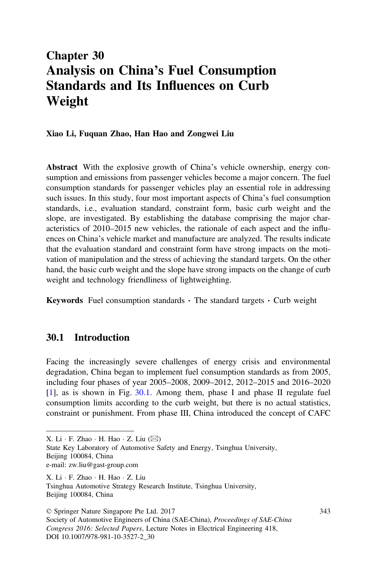# Chapter 30 Analysis on China's Fuel Consumption Standards and Its Influences on Curb Weight

#### Xiao Li, Fuquan Zhao, Han Hao and Zongwei Liu

Abstract With the explosive growth of China's vehicle ownership, energy consumption and emissions from passenger vehicles become a major concern. The fuel consumption standards for passenger vehicles play an essential role in addressing such issues. In this study, four most important aspects of China's fuel consumption standards, i.e., evaluation standard, constraint form, basic curb weight and the slope, are investigated. By establishing the database comprising the major characteristics of 2010–2015 new vehicles, the rationale of each aspect and the influences on China's vehicle market and manufacture are analyzed. The results indicate that the evaluation standard and constraint form have strong impacts on the motivation of manipulation and the stress of achieving the standard targets. On the other hand, the basic curb weight and the slope have strong impacts on the change of curb weight and technology friendliness of lightweighting.

**Keywords** Fuel consumption standards  $\cdot$  The standard targets  $\cdot$  Curb weight

### 30.1 Introduction

Facing the increasingly severe challenges of energy crisis and environmental degradation, China began to implement fuel consumption standards as from 2005, including four phases of year 2005–2008, 2009–2012, 2012–2015 and 2016–2020 [\[1](#page-12-0)], as is shown in Fig. [30.1.](#page-1-0) Among them, phase I and phase II regulate fuel consumption limits according to the curb weight, but there is no actual statistics, constraint or punishment. From phase III, China introduced the concept of CAFC

State Key Laboratory of Automotive Safety and Energy, Tsinghua University, Beijing 100084, China e-mail: zw.liu@gast-group.com

X. Li · F. Zhao · H. Hao · Z. Liu Tsinghua Automotive Strategy Research Institute, Tsinghua University, Beijing 100084, China

© Springer Nature Singapore Pte Ltd. 2017 Society of Automotive Engineers of China (SAE-China), Proceedings of SAE-China Congress 2016: Selected Papers, Lecture Notes in Electrical Engineering 418, DOI 10.1007/978-981-10-3527-2\_30

343

X. Li  $\cdot$  F. Zhao  $\cdot$  H. Hao  $\cdot$  Z. Liu ( $\boxtimes$ )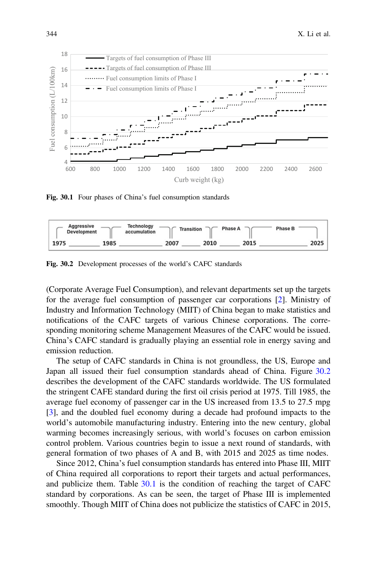<span id="page-1-0"></span>

Fig. 30.1 Four phases of China's fuel consumption standards



Fig. 30.2 Development processes of the world's CAFC standards

(Corporate Average Fuel Consumption), and relevant departments set up the targets for the average fuel consumption of passenger car corporations [\[2](#page-12-0)]. Ministry of Industry and Information Technology (MIIT) of China began to make statistics and notifications of the CAFC targets of various Chinese corporations. The corresponding monitoring scheme Management Measures of the CAFC would be issued. China's CAFC standard is gradually playing an essential role in energy saving and emission reduction.

The setup of CAFC standards in China is not groundless, the US, Europe and Japan all issued their fuel consumption standards ahead of China. Figure 30.2 describes the development of the CAFC standards worldwide. The US formulated the stringent CAFE standard during the first oil crisis period at 1975. Till 1985, the average fuel economy of passenger car in the US increased from 13.5 to 27.5 mpg [\[3](#page-12-0)], and the doubled fuel economy during a decade had profound impacts to the world's automobile manufacturing industry. Entering into the new century, global warming becomes increasingly serious, with world's focuses on carbon emission control problem. Various countries begin to issue a next round of standards, with general formation of two phases of A and B, with 2015 and 2025 as time nodes.

Since 2012, China's fuel consumption standards has entered into Phase III, MIIT of China required all corporations to report their targets and actual performances, and publicize them. Table [30.1](#page-2-0) is the condition of reaching the target of CAFC standard by corporations. As can be seen, the target of Phase III is implemented smoothly. Though MIIT of China does not publicize the statistics of CAFC in 2015,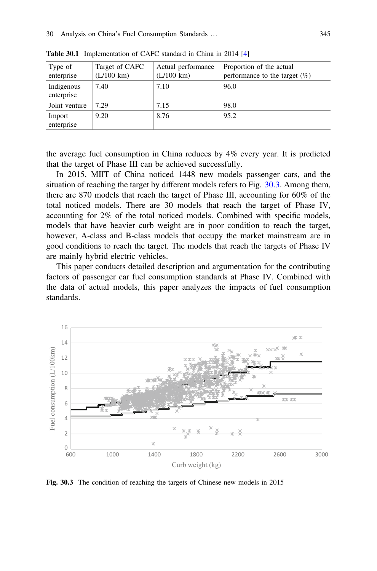| Type of<br>enterprise    | Target of CAFC<br>$(L/100 \text{ km})$ | Actual performance<br>$(L/100 \text{ km})$ | Proportion of the actual<br>performance to the target $(\%)$ |
|--------------------------|----------------------------------------|--------------------------------------------|--------------------------------------------------------------|
| Indigenous<br>enterprise | 7.40                                   | 7.10                                       | 96.0                                                         |
| Joint venture            | 7.29                                   | 7.15                                       | 98.0                                                         |
| Import<br>enterprise     | 9.20                                   | 8.76                                       | 95.2                                                         |

<span id="page-2-0"></span>Table 30.1 Implementation of CAFC standard in China in 2014 [[4](#page-13-0)]

the average fuel consumption in China reduces by 4% every year. It is predicted that the target of Phase III can be achieved successfully.

In 2015, MIIT of China noticed 1448 new models passenger cars, and the situation of reaching the target by different models refers to Fig. 30.3. Among them, there are 870 models that reach the target of Phase III, accounting for 60% of the total noticed models. There are 30 models that reach the target of Phase IV, accounting for 2% of the total noticed models. Combined with specific models, models that have heavier curb weight are in poor condition to reach the target, however, A-class and B-class models that occupy the market mainstream are in good conditions to reach the target. The models that reach the targets of Phase IV are mainly hybrid electric vehicles.

This paper conducts detailed description and argumentation for the contributing factors of passenger car fuel consumption standards at Phase IV. Combined with the data of actual models, this paper analyzes the impacts of fuel consumption standards.



Fig. 30.3 The condition of reaching the targets of Chinese new models in 2015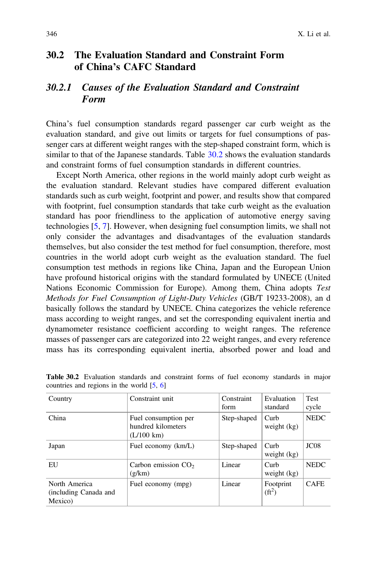### <span id="page-3-0"></span>30.2 The Evaluation Standard and Constraint Form of China's CAFC Standard

### 30.2.1 Causes of the Evaluation Standard and Constraint Form

China's fuel consumption standards regard passenger car curb weight as the evaluation standard, and give out limits or targets for fuel consumptions of passenger cars at different weight ranges with the step-shaped constraint form, which is similar to that of the Japanese standards. Table 30.2 shows the evaluation standards and constraint forms of fuel consumption standards in different countries.

Except North America, other regions in the world mainly adopt curb weight as the evaluation standard. Relevant studies have compared different evaluation standards such as curb weight, footprint and power, and results show that compared with footprint, fuel consumption standards that take curb weight as the evaluation standard has poor friendliness to the application of automotive energy saving technologies [[5,](#page-13-0) [7](#page-13-0)]. However, when designing fuel consumption limits, we shall not only consider the advantages and disadvantages of the evaluation standards themselves, but also consider the test method for fuel consumption, therefore, most countries in the world adopt curb weight as the evaluation standard. The fuel consumption test methods in regions like China, Japan and the European Union have profound historical origins with the standard formulated by UNECE (United Nations Economic Commission for Europe). Among them, China adopts Test Methods for Fuel Consumption of Light-Duty Vehicles (GB/T 19233-2008), an d basically follows the standard by UNECE. China categorizes the vehicle reference mass according to weight ranges, and set the corresponding equivalent inertia and dynamometer resistance coefficient according to weight ranges. The reference masses of passenger cars are categorized into 22 weight ranges, and every reference mass has its corresponding equivalent inertia, absorbed power and load and

| Country                                           | Constraint unit                                                    | Constraint<br>form | Evaluation<br>standard  | <b>Test</b><br>cycle |
|---------------------------------------------------|--------------------------------------------------------------------|--------------------|-------------------------|----------------------|
| China                                             | Fuel consumption per<br>hundred kilometers<br>$(L/100 \text{ km})$ | Step-shaped        | Curb<br>weight $(kg)$   | <b>NEDC</b>          |
| Japan                                             | Fuel economy (km/L)                                                | Step-shaped        | Curb<br>weight $(kg)$   | JC <sub>08</sub>     |
| EU                                                | Carbon emission $CO2$<br>(g/km)                                    | Linear             | Curb<br>weight $(kg)$   | <b>NEDC</b>          |
| North America<br>(including Canada and<br>Mexico) | Fuel economy (mpg)                                                 | Linear             | Footprint<br>$(f{t}^2)$ | <b>CAFE</b>          |

Table 30.2 Evaluation standards and constraint forms of fuel economy standards in major countries and regions in the world [\[5,](#page-13-0) [6\]](#page-13-0)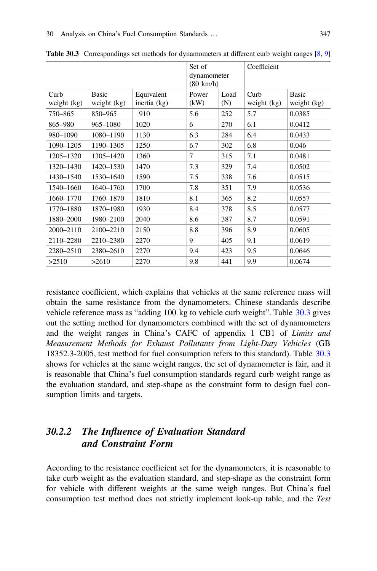|             |              |              | Set of<br>dynamometer<br>$(80 \text{ km/h})$ |      | Coefficient |              |
|-------------|--------------|--------------|----------------------------------------------|------|-------------|--------------|
| Curb        | <b>Basic</b> | Equivalent   | Power<br>(kW)                                | Load | Curb        | <b>Basic</b> |
| weight (kg) | weight (kg)  | inertia (kg) |                                              | (N)  | weight (kg) | weight (kg)  |
| 750-865     | 850-965      | 910          | 5.6                                          | 252  | 5.7         | 0.0385       |
| 865-980     | 965-1080     | 1020         | 6                                            | 270  | 6.1         | 0.0412       |
| 980-1090    | 1080-1190    | 1130         | 6.3                                          | 284  | 6.4         | 0.0433       |
| 1090-1205   | 1190-1305    | 1250         | 6.7                                          | 302  | 6.8         | 0.046        |
| 1205-1320   | 1305-1420    | 1360         | 7                                            | 315  | 7.1         | 0.0481       |
| 1320-1430   | 1420-1530    | 1470         | 7.3                                          | 329  | 7.4         | 0.0502       |
| 1430-1540   | 1530-1640    | 1590         | 7.5                                          | 338  | 7.6         | 0.0515       |
| 1540-1660   | 1640-1760    | 1700         | 7.8                                          | 351  | 7.9         | 0.0536       |
| 1660-1770   | 1760-1870    | 1810         | 8.1                                          | 365  | 8.2         | 0.0557       |
| 1770-1880   | 1870-1980    | 1930         | 8.4                                          | 378  | 8.5         | 0.0577       |
| 1880-2000   | 1980-2100    | 2040         | 8.6                                          | 387  | 8.7         | 0.0591       |
| 2000-2110   | 2100-2210    | 2150         | 8.8                                          | 396  | 8.9         | 0.0605       |
| 2110-2280   | 2210-2380    | 2270         | 9                                            | 405  | 9.1         | 0.0619       |
| 2280-2510   | 2380-2610    | 2270         | 9.4                                          | 423  | 9.5         | 0.0646       |
| >2510       | >2610        | 2270         | 9.8                                          | 441  | 9.9         | 0.0674       |

Table 30.3 Correspondings set methods for dynamometers at different curb weight ranges [[8,](#page-13-0) [9\]](#page-13-0)

resistance coefficient, which explains that vehicles at the same reference mass will obtain the same resistance from the dynamometers. Chinese standards describe vehicle reference mass as "adding 100 kg to vehicle curb weight". Table 30.3 gives out the setting method for dynamometers combined with the set of dynamometers and the weight ranges in China's CAFC of appendix 1 CB1 of Limits and Measurement Methods for Exhaust Pollutants from Light-Duty Vehicles (GB 18352.3-2005, test method for fuel consumption refers to this standard). Table 30.3 shows for vehicles at the same weight ranges, the set of dynamometer is fair, and it is reasonable that China's fuel consumption standards regard curb weight range as the evaluation standard, and step-shape as the constraint form to design fuel consumption limits and targets.

# 30.2.2 The Influence of Evaluation Standard and Constraint Form

According to the resistance coefficient set for the dynamometers, it is reasonable to take curb weight as the evaluation standard, and step-shape as the constraint form for vehicle with different weights at the same weigh ranges. But China's fuel consumption test method does not strictly implement look-up table, and the Test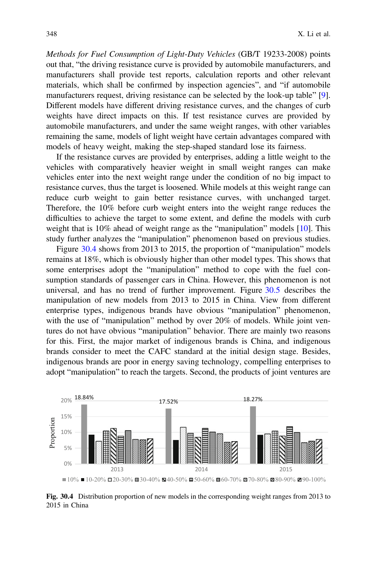Methods for Fuel Consumption of Light-Duty Vehicles (GB/T 19233-2008) points out that, "the driving resistance curve is provided by automobile manufacturers, and manufacturers shall provide test reports, calculation reports and other relevant materials, which shall be confirmed by inspection agencies", and "if automobile manufacturers request, driving resistance can be selected by the look-up table" [[9\]](#page-13-0). Different models have different driving resistance curves, and the changes of curb weights have direct impacts on this. If test resistance curves are provided by automobile manufacturers, and under the same weight ranges, with other variables remaining the same, models of light weight have certain advantages compared with models of heavy weight, making the step-shaped standard lose its fairness.

If the resistance curves are provided by enterprises, adding a little weight to the vehicles with comparatively heavier weight in small weight ranges can make vehicles enter into the next weight range under the condition of no big impact to resistance curves, thus the target is loosened. While models at this weight range can reduce curb weight to gain better resistance curves, with unchanged target. Therefore, the 10% before curb weight enters into the weight range reduces the difficulties to achieve the target to some extent, and define the models with curb weight that is 10% ahead of weight range as the "manipulation" models [\[10](#page-13-0)]. This study further analyzes the "manipulation" phenomenon based on previous studies.

Figure 30.4 shows from 2013 to 2015, the proportion of "manipulation" models remains at 18%, which is obviously higher than other model types. This shows that some enterprises adopt the "manipulation" method to cope with the fuel consumption standards of passenger cars in China. However, this phenomenon is not universal, and has no trend of further improvement. Figure [30.5](#page-6-0) describes the manipulation of new models from 2013 to 2015 in China. View from different enterprise types, indigenous brands have obvious "manipulation" phenomenon, with the use of "manipulation" method by over 20% of models. While joint ventures do not have obvious "manipulation" behavior. There are mainly two reasons for this. First, the major market of indigenous brands is China, and indigenous brands consider to meet the CAFC standard at the initial design stage. Besides, indigenous brands are poor in energy saving technology, compelling enterprises to adopt "manipulation" to reach the targets. Second, the products of joint ventures are



Fig. 30.4 Distribution proportion of new models in the corresponding weight ranges from 2013 to 2015 in China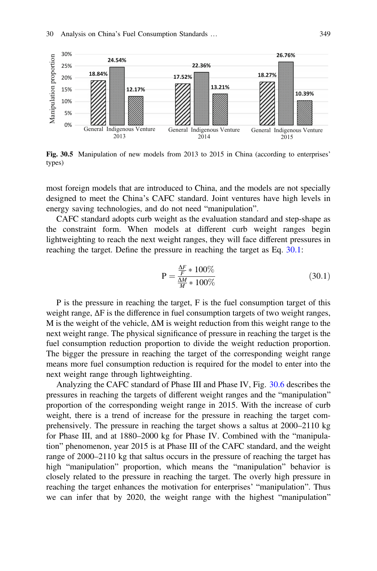<span id="page-6-0"></span>

Fig. 30.5 Manipulation of new models from 2013 to 2015 in China (according to enterprises' types)

most foreign models that are introduced to China, and the models are not specially designed to meet the China's CAFC standard. Joint ventures have high levels in energy saving technologies, and do not need "manipulation".

CAFC standard adopts curb weight as the evaluation standard and step-shape as the constraint form. When models at different curb weight ranges begin lightweighting to reach the next weight ranges, they will face different pressures in reaching the target. Define the pressure in reaching the target as Eq. 30.1:

$$
P = \frac{\frac{\Delta F}{F} * 100\%}{\frac{\Delta M}{M} * 100\%}
$$
 (30.1)

P is the pressure in reaching the target, F is the fuel consumption target of this weight range,  $\Delta F$  is the difference in fuel consumption targets of two weight ranges, M is the weight of the vehicle, ΔM is weight reduction from this weight range to the next weight range. The physical significance of pressure in reaching the target is the fuel consumption reduction proportion to divide the weight reduction proportion. The bigger the pressure in reaching the target of the corresponding weight range means more fuel consumption reduction is required for the model to enter into the next weight range through lightweighting.

Analyzing the CAFC standard of Phase III and Phase IV, Fig. [30.6](#page-7-0) describes the pressures in reaching the targets of different weight ranges and the "manipulation" proportion of the corresponding weight range in 2015. With the increase of curb weight, there is a trend of increase for the pressure in reaching the target comprehensively. The pressure in reaching the target shows a saltus at 2000–2110 kg for Phase III, and at 1880–2000 kg for Phase IV. Combined with the "manipulation" phenomenon, year 2015 is at Phase III of the CAFC standard, and the weight range of 2000–2110 kg that saltus occurs in the pressure of reaching the target has high "manipulation" proportion, which means the "manipulation" behavior is closely related to the pressure in reaching the target. The overly high pressure in reaching the target enhances the motivation for enterprises' "manipulation". Thus we can infer that by 2020, the weight range with the highest "manipulation"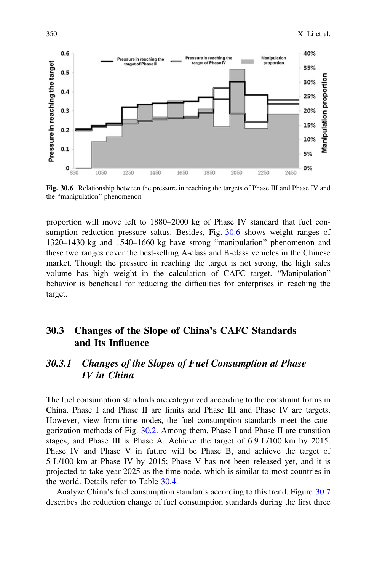<span id="page-7-0"></span>

Fig. 30.6 Relationship between the pressure in reaching the targets of Phase III and Phase IV and the "manipulation" phenomenon

proportion will move left to 1880–2000 kg of Phase IV standard that fuel consumption reduction pressure saltus. Besides, Fig. 30.6 shows weight ranges of 1320–1430 kg and 1540–1660 kg have strong "manipulation" phenomenon and these two ranges cover the best-selling A-class and B-class vehicles in the Chinese market. Though the pressure in reaching the target is not strong, the high sales volume has high weight in the calculation of CAFC target. "Manipulation" behavior is beneficial for reducing the difficulties for enterprises in reaching the target.

# 30.3 Changes of the Slope of China's CAFC Standards and Its Influence

# 30.3.1 Changes of the Slopes of Fuel Consumption at Phase IV in China

The fuel consumption standards are categorized according to the constraint forms in China. Phase I and Phase II are limits and Phase III and Phase IV are targets. However, view from time nodes, the fuel consumption standards meet the categorization methods of Fig. [30.2](#page-1-0). Among them, Phase I and Phase II are transition stages, and Phase III is Phase A. Achieve the target of 6.9 L/100 km by 2015. Phase IV and Phase V in future will be Phase B, and achieve the target of 5 L/100 km at Phase IV by 2015; Phase V has not been released yet, and it is projected to take year 2025 as the time node, which is similar to most countries in the world. Details refer to Table [30.4](#page-8-0).

Analyze China's fuel consumption standards according to this trend. Figure [30.7](#page-8-0) describes the reduction change of fuel consumption standards during the first three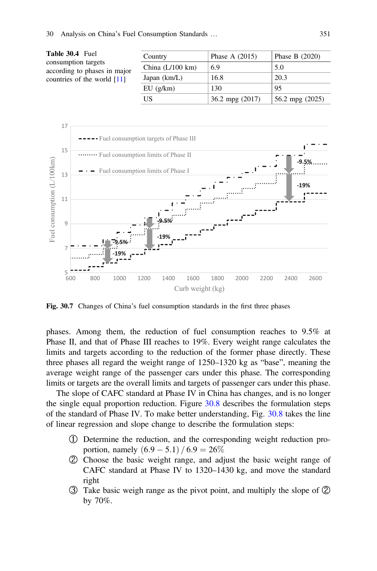<span id="page-8-0"></span>

| Table 30.4 Fuel<br>consumption targets<br>according to phases in major<br>countries of the world $[11]$ | Country                    | Phase A $(2015)$    | Phase B $(2020)$  |  |
|---------------------------------------------------------------------------------------------------------|----------------------------|---------------------|-------------------|--|
|                                                                                                         | China $(L/100 \text{ km})$ | 6.9                 | 5.0               |  |
|                                                                                                         | Japan $(km/L)$             | 16.8                | 20.3              |  |
|                                                                                                         | EU(g/km)                   | 130                 | 95                |  |
|                                                                                                         | US                         | $36.2$ mpg $(2017)$ | 56.2 mpg $(2025)$ |  |
|                                                                                                         |                            |                     |                   |  |



Fig. 30.7 Changes of China's fuel consumption standards in the first three phases

phases. Among them, the reduction of fuel consumption reaches to 9.5% at Phase II, and that of Phase III reaches to 19%. Every weight range calculates the limits and targets according to the reduction of the former phase directly. These three phases all regard the weight range of 1250–1320 kg as "base", meaning the average weight range of the passenger cars under this phase. The corresponding limits or targets are the overall limits and targets of passenger cars under this phase.

The slope of CAFC standard at Phase IV in China has changes, and is no longer the single equal proportion reduction. Figure [30.8](#page-9-0) describes the formulation steps of the standard of Phase IV. To make better understanding, Fig. [30.8](#page-9-0) takes the line of linear regression and slope change to describe the formulation steps:

- ① Determine the reduction, and the corresponding weight reduction proportion, namely  $(6.9 - 5.1) / 6.9 = 26\%$
- ② Choose the basic weight range, and adjust the basic weight range of CAFC standard at Phase IV to 1320–1430 kg, and move the standard right
- ③ Take basic weigh range as the pivot point, and multiply the slope of ② by 70%.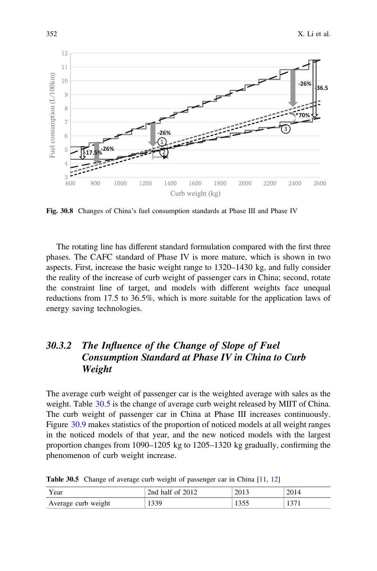<span id="page-9-0"></span>

Fig. 30.8 Changes of China's fuel consumption standards at Phase III and Phase IV

The rotating line has different standard formulation compared with the first three phases. The CAFC standard of Phase IV is more mature, which is shown in two aspects. First, increase the basic weight range to 1320–1430 kg, and fully consider the reality of the increase of curb weight of passenger cars in China; second, rotate the constraint line of target, and models with different weights face unequal reductions from 17.5 to 36.5%, which is more suitable for the application laws of energy saving technologies.

# 30.3.2 The Influence of the Change of Slope of Fuel Consumption Standard at Phase IV in China to Curb Weight

The average curb weight of passenger car is the weighted average with sales as the weight. Table 30.5 is the change of average curb weight released by MIIT of China. The curb weight of passenger car in China at Phase III increases continuously. Figure [30.9](#page-10-0) makes statistics of the proportion of noticed models at all weight ranges in the noticed models of that year, and the new noticed models with the largest proportion changes from 1090–1205 kg to 1205–1320 kg gradually, confirming the

| Year                | 2nd half of 2012 | 2013  | 2014 |
|---------------------|------------------|-------|------|
| Average curb weight | 1339             | 1 ປປປ | 27   |

Table 30.5 Change of average curb weight of passenger car in China [\[11,](#page-13-0) [12](#page-13-0)]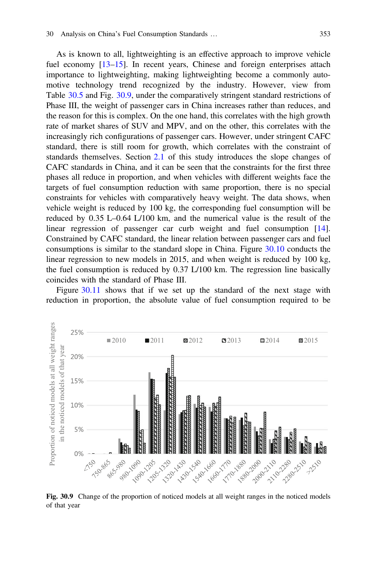<span id="page-10-0"></span>As is known to all, lightweighting is an effective approach to improve vehicle fuel economy [[13](#page-13-0)–[15\]](#page-13-0). In recent years, Chinese and foreign enterprises attach importance to lightweighting, making lightweighting become a commonly automotive technology trend recognized by the industry. However, view from Table [30.5](#page-9-0) and Fig. 30.9, under the comparatively stringent standard restrictions of Phase III, the weight of passenger cars in China increases rather than reduces, and the reason for this is complex. On the one hand, this correlates with the high growth rate of market shares of SUV and MPV, and on the other, this correlates with the increasingly rich configurations of passenger cars. However, under stringent CAFC standard, there is still room for growth, which correlates with the constraint of standards themselves. Section [2.1](#page-3-0) of this study introduces the slope changes of CAFC standards in China, and it can be seen that the constraints for the first three phases all reduce in proportion, and when vehicles with different weights face the targets of fuel consumption reduction with same proportion, there is no special constraints for vehicles with comparatively heavy weight. The data shows, when vehicle weight is reduced by 100 kg, the corresponding fuel consumption will be reduced by 0.35 L–0.64 L/100 km, and the numerical value is the result of the linear regression of passenger car curb weight and fuel consumption [[14\]](#page-13-0). Constrained by CAFC standard, the linear relation between passenger cars and fuel consumptions is similar to the standard slope in China. Figure [30.10](#page-11-0) conducts the linear regression to new models in 2015, and when weight is reduced by 100 kg, the fuel consumption is reduced by 0.37 L/100 km. The regression line basically coincides with the standard of Phase III.

Figure [30.11](#page-11-0) shows that if we set up the standard of the next stage with reduction in proportion, the absolute value of fuel consumption required to be



Fig. 30.9 Change of the proportion of noticed models at all weight ranges in the noticed models of that year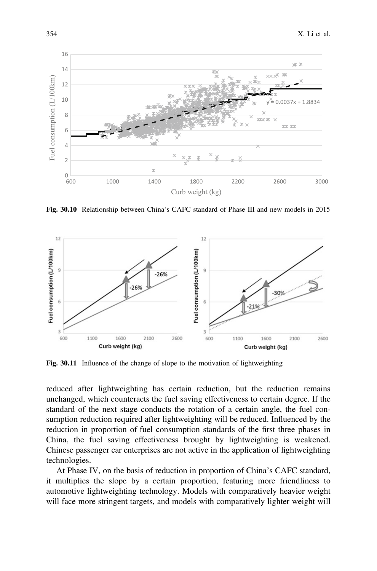<span id="page-11-0"></span>

Fig. 30.10 Relationship between China's CAFC standard of Phase III and new models in 2015



Fig. 30.11 Influence of the change of slope to the motivation of lightweighting

reduced after lightweighting has certain reduction, but the reduction remains unchanged, which counteracts the fuel saving effectiveness to certain degree. If the standard of the next stage conducts the rotation of a certain angle, the fuel consumption reduction required after lightweighting will be reduced. Influenced by the reduction in proportion of fuel consumption standards of the first three phases in China, the fuel saving effectiveness brought by lightweighting is weakened. Chinese passenger car enterprises are not active in the application of lightweighting technologies.

At Phase IV, on the basis of reduction in proportion of China's CAFC standard, it multiplies the slope by a certain proportion, featuring more friendliness to automotive lightweighting technology. Models with comparatively heavier weight will face more stringent targets, and models with comparatively lighter weight will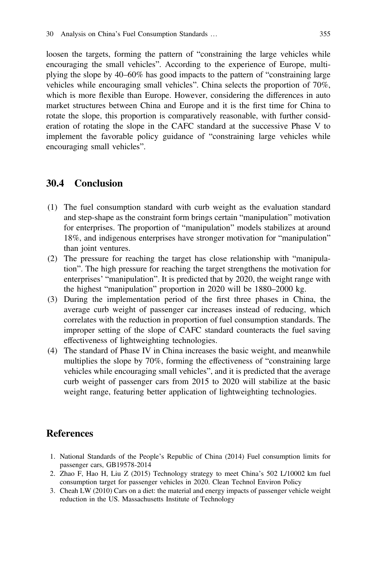<span id="page-12-0"></span>loosen the targets, forming the pattern of "constraining the large vehicles while encouraging the small vehicles". According to the experience of Europe, multiplying the slope by 40–60% has good impacts to the pattern of "constraining large vehicles while encouraging small vehicles". China selects the proportion of 70%, which is more flexible than Europe. However, considering the differences in auto market structures between China and Europe and it is the first time for China to rotate the slope, this proportion is comparatively reasonable, with further consideration of rotating the slope in the CAFC standard at the successive Phase V to implement the favorable policy guidance of "constraining large vehicles while encouraging small vehicles".

### 30.4 Conclusion

- (1) The fuel consumption standard with curb weight as the evaluation standard and step-shape as the constraint form brings certain "manipulation" motivation for enterprises. The proportion of "manipulation" models stabilizes at around 18%, and indigenous enterprises have stronger motivation for "manipulation" than joint ventures.
- (2) The pressure for reaching the target has close relationship with "manipulation". The high pressure for reaching the target strengthens the motivation for enterprises' "manipulation". It is predicted that by 2020, the weight range with the highest "manipulation" proportion in 2020 will be 1880–2000 kg.
- (3) During the implementation period of the first three phases in China, the average curb weight of passenger car increases instead of reducing, which correlates with the reduction in proportion of fuel consumption standards. The improper setting of the slope of CAFC standard counteracts the fuel saving effectiveness of lightweighting technologies.
- (4) The standard of Phase IV in China increases the basic weight, and meanwhile multiplies the slope by 70%, forming the effectiveness of "constraining large vehicles while encouraging small vehicles", and it is predicted that the average curb weight of passenger cars from 2015 to 2020 will stabilize at the basic weight range, featuring better application of lightweighting technologies.

### References

- 1. National Standards of the People's Republic of China (2014) Fuel consumption limits for passenger cars, GB19578-2014
- 2. Zhao F, Hao H, Liu Z (2015) Technology strategy to meet China's 502 L/10002 km fuel consumption target for passenger vehicles in 2020. Clean Technol Environ Policy
- 3. Cheah LW (2010) Cars on a diet: the material and energy impacts of passenger vehicle weight reduction in the US. Massachusetts Institute of Technology